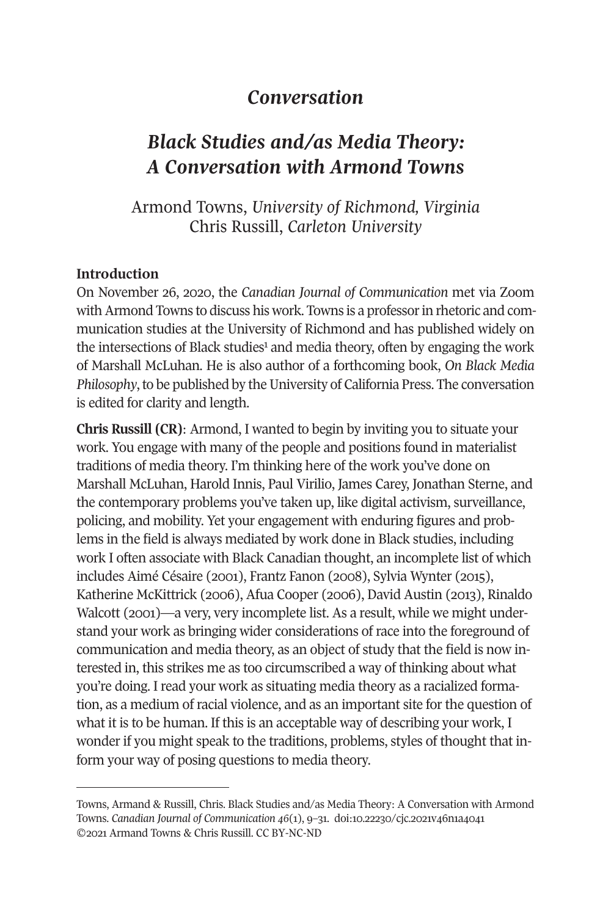## *Conversation*

# *Black Studies and/as Media Theory: A Conversation with Armond Towns*

Armond Towns, *University of Richmond, Virginia* Chris Russill, *Carleton University* 

#### **Introduction**

On November 26, 2020, the *Canadian Journal of Communication* met via Zoom with Armond Towns to discuss his work. Towns is a professor in rhetoric and communication studies at the University of Richmond and has published widely on the intersections of Black studies<sup>1</sup> and media theory, often by engaging the work of Marshall McLuhan. He is also author of a forthcoming book, *On Black Media Philosophy*, to be published by the University of California Press. The conversation is edited for clarity and length.

**Chris Russill (CR)**: Armond, I wanted to begin by inviting you to situate your work. You engage with many of the people and positions found in materialist traditions of media theory. I'm thinking here of the work you've done on Marshall McLuhan, Harold Innis, Paul Virilio, James Carey, Jonathan Sterne, and the contemporary problems you've taken up, like digital activism, surveillance, policing, and mobility. Yet your engagement with enduring figures and problems in the field is always mediated by work done in Black studies, including work I often associate with Black Canadian thought, an incomplete list of which includes Aimé Césaire (2001), Frantz Fanon (2008), Sylvia Wynter (2015), Katherine McKittrick (2006), Afua Cooper (2006), David Austin (2013), Rinaldo Walcott (2001)—a very, very incomplete list. As a result, while we might understand your work as bringing wider considerations of race into the foreground of communication and media theory, as an object of study that the field is now interested in, this strikes me as too circumscribed a way of thinking about what you're doing. I read your work as situating media theory as a racialized formation, as a medium of racial violence, and as an important site for the question of what it is to be human. If this is an acceptable way of describing your work, I wonder if you might speak to the traditions, problems, styles of thought that inform your way of posing questions to media theory.

Towns, Armand & Russill, Chris. Black Studies and/as Media Theory: A Conversation with Armond Towns. *[Canadian Journal of Communication](http://cjc-online.ca) 46*(1), 9–31. doi[:10.22230/cjc.2021v46n1a4041](https://doi.org/10.22230/cjc.2021v46n1a4041)  ©2021 Armand Towns & Chris Russill. CC BY-NC-ND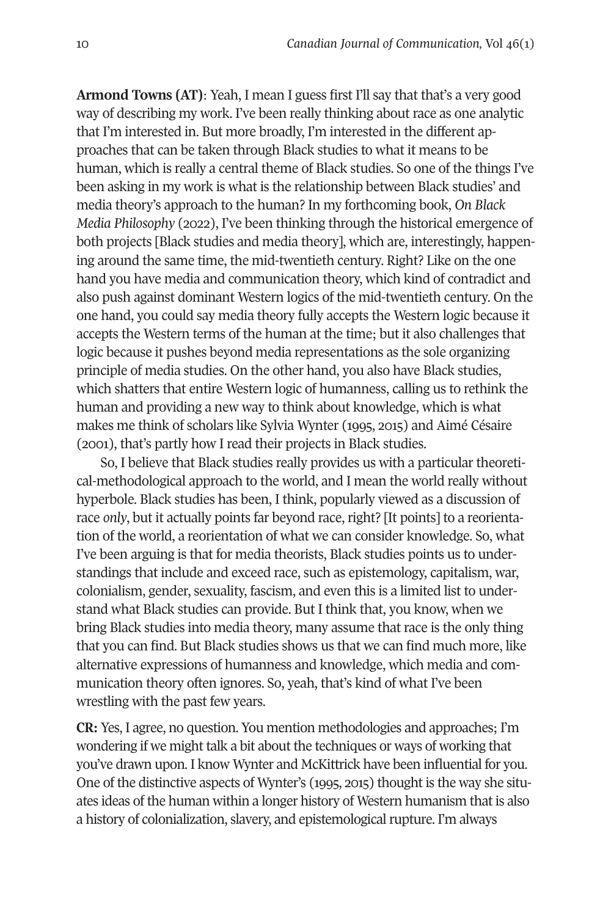**Armond Towns (AT)**: Yeah, I mean I guess first I'll say that that's a very good way of describing my work. I've been really thinking about race as one analytic that I'm interested in. But more broadly, I'm interested in the different approaches that can be taken through Black studies to what it means to be human, which is really a central theme of Black studies. So one of the things I've been asking in my work is what is the relationship between Black studies' and media theory's approach to the human? In my forthcoming book, *On Black Media Philosophy* (2022), I've been thinking through the historical emergence of both projects [Black studies and media theory], which are, interestingly, happening around the same time, the mid-twentieth century. Right? Like on the one hand you have media and communication theory, which kind of contradict and also push against dominant Western logics of the mid-twentieth century. On the one hand, you could say media theory fully accepts the Western logic because it accepts the Western terms of the human at the time; but it also challenges that logic because it pushes beyond media representations as the sole organizing principle of media studies. On the other hand, you also have Black studies, which shatters that entire Western logic of humanness, calling us to rethink the human and providing a new way to think about knowledge, which is what makes me think of scholars like Sylvia Wynter (1995, 2015) and Aimé Césaire (2001), that's partly how I read their projects in Black studies.

So, I believe that Black studies really provides us with a particular theoretical-methodological approach to the world, and I mean the world really without hyperbole. Black studies has been, I think, popularly viewed as a discussion of race *only*, but it actually points far beyond race, right? [It points] to a reorientation of the world, a reorientation of what we can consider knowledge. So, what I've been arguing is that for media theorists, Black studies points us to understandings that include and exceed race, such as epistemology, capitalism, war, colonialism, gender, sexuality, fascism, and even this is a limited list to understand what Black studies can provide. But I think that, you know, when we bring Black studies into media theory, many assume that race is the only thing that you can find. But Black studies shows us that we can find much more, like alternative expressions of humanness and knowledge, which media and communication theory often ignores. So, yeah, that's kind of what I've been wrestling with the past few years.

**CR:** Yes, I agree, no question. You mention methodologies and approaches; I'm wondering if we might talk a bit about the techniques or ways of working that you've drawn upon. I know Wynter and McKittrick have been influential for you. One of the distinctive aspects of Wynter's (1995, 2015) thought is the way she situates ideas of the human within a longer history of Western humanism that is also a history of colonialization, slavery, and epistemological rupture. I'm always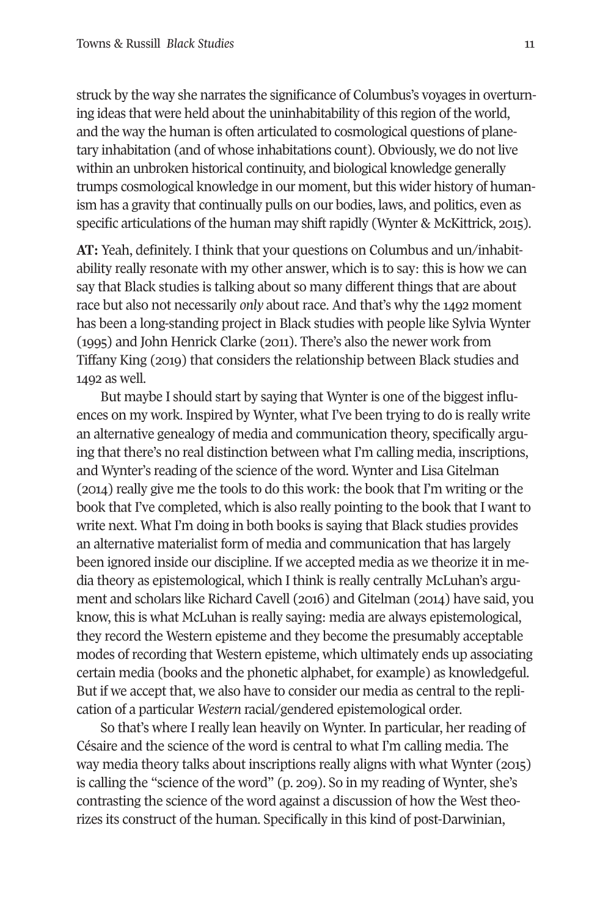struck by the way she narrates the significance of Columbus's voyages in overturning ideas that were held about the uninhabitability of this region of the world, and the way the human is often articulated to cosmological questions of planetary inhabitation (and of whose inhabitations count). Obviously, we do not live within an unbroken historical continuity, and biological knowledge generally trumps cosmological knowledge in our moment, but this wider history of humanism has a gravity that continually pulls on our bodies, laws, and politics, even as specific articulations of the human may shift rapidly (Wynter & McKittrick, 2015).

**AT:** Yeah, definitely. I think that your questions on Columbus and un/inhabitability really resonate with my other answer, which is to say: this is how we can say that Black studies is talking about so many different things that are about race but also not necessarily *only* about race. And that's why the 1492 moment has been a long-standing project in Black studies with people like Sylvia Wynter (1995) and John Henrick Clarke (2011). There's also the newer work from Tiffany King (2019) that considers the relationship between Black studies and 1492 as well.

But maybe I should start by saying that Wynter is one of the biggest influences on my work. Inspired by Wynter, what I've been trying to do is really write an alternative genealogy of media and communication theory, specifically arguing that there's no real distinction between what I'm calling media, inscriptions, and Wynter's reading of the science of the word. Wynter and Lisa Gitelman (2014) really give me the tools to do this work: the book that I'm writing or the book that I've completed, which is also really pointing to the book that I want to write next. What I'm doing in both books is saying that Black studies provides an alternative materialist form of media and communication that has largely been ignored inside our discipline. If we accepted media as we theorize it in media theory as epistemological, which I think is really centrally McLuhan's argument and scholars like Richard Cavell (2016) and Gitelman (2014) have said, you know, this is what McLuhan is really saying: media are always epistemological, they record the Western episteme and they become the presumably acceptable modes of recording that Western episteme, which ultimately ends up associating certain media (books and the phonetic alphabet, for example) as knowledgeful. But if we accept that, we also have to consider our media as central to the replication of a particular *Western* racial/gendered epistemological order.

So that's where I really lean heavily on Wynter. In particular, her reading of Césaire and the science of the word is central to what I'm calling media. The way media theory talks about inscriptions really aligns with what Wynter (2015) is calling the "science of the word" (p. 209). So in my reading of Wynter, she's contrasting the science of the word against a discussion of how the West theorizes its construct of the human. Specifically in this kind of post-Darwinian,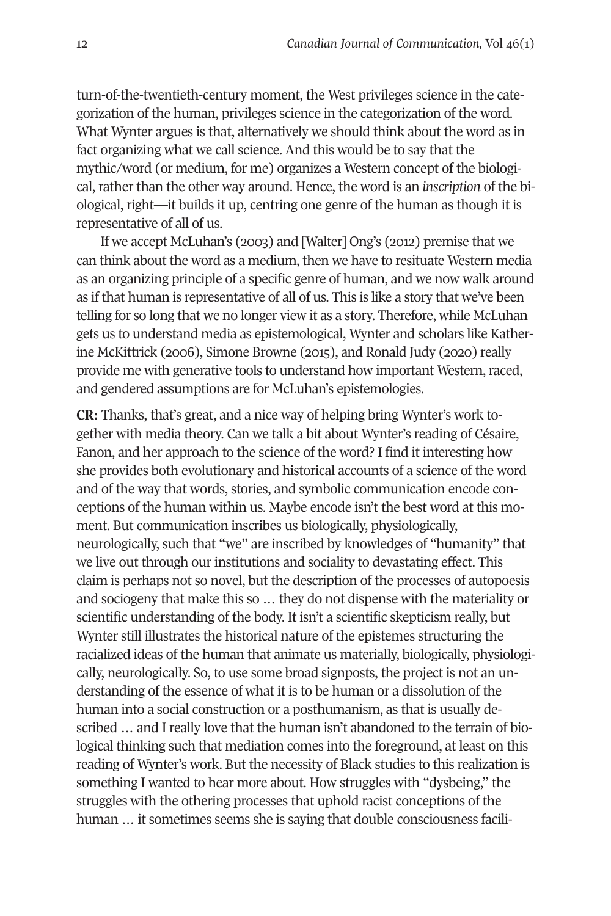turn-of-the-twentieth-century moment, the West privileges science in the categorization of the human, privileges science in the categorization of the word. What Wynter argues is that, alternatively we should think about the word as in fact organizing what we call science. And this would be to say that the mythic/word (or medium, for me) organizes a Western concept of the biological, rather than the other way around. Hence, the word is an *inscription* of the biological, right—it builds it up, centring one genre of the human as though it is representative of all of us.

If we accept McLuhan's (2003) and [Walter] Ong's (2012) premise that we can think about the word as a medium, then we have to resituate Western media as an organizing principle of a specific genre of human, and we now walk around as if that human is representative of all of us. This is like a story that we've been telling for so long that we no longer view it as a story. Therefore, while McLuhan gets us to understand media as epistemological, Wynter and scholars like Katherine McKittrick (2006), Simone Browne (2015), and Ronald Judy (2020) really provide me with generative tools to understand how important Western, raced, and gendered assumptions are for McLuhan's epistemologies.

**CR:** Thanks, that's great, and a nice way of helping bring Wynter's work together with media theory. Can we talk a bit about Wynter's reading of Césaire, Fanon, and her approach to the science of the word? I find it interesting how she provides both evolutionary and historical accounts of a science of the word and of the way that words, stories, and symbolic communication encode conceptions of the human within us. Maybe encode isn't the best word at this moment. But communication inscribes us biologically, physiologically, neurologically, such that "we" are inscribed by knowledges of "humanity" that we live out through our institutions and sociality to devastating effect. This claim is perhaps not so novel, but the description of the processes of autopoesis and sociogeny that make this so … they do not dispense with the materiality or scientific understanding of the body. It isn't a scientific skepticism really, but Wynter still illustrates the historical nature of the epistemes structuring the racialized ideas of the human that animate us materially, biologically, physiologically, neurologically. So, to use some broad signposts, the project is not an understanding of the essence of what it is to be human or a dissolution of the human into a social construction or a posthumanism, as that is usually described … and I really love that the human isn't abandoned to the terrain of biological thinking such that mediation comes into the foreground, at least on this reading of Wynter's work. But the necessity of Black studies to this realization is something I wanted to hear more about. How struggles with "dysbeing," the struggles with the othering processes that uphold racist conceptions of the human … it sometimes seems she is saying that double consciousness facili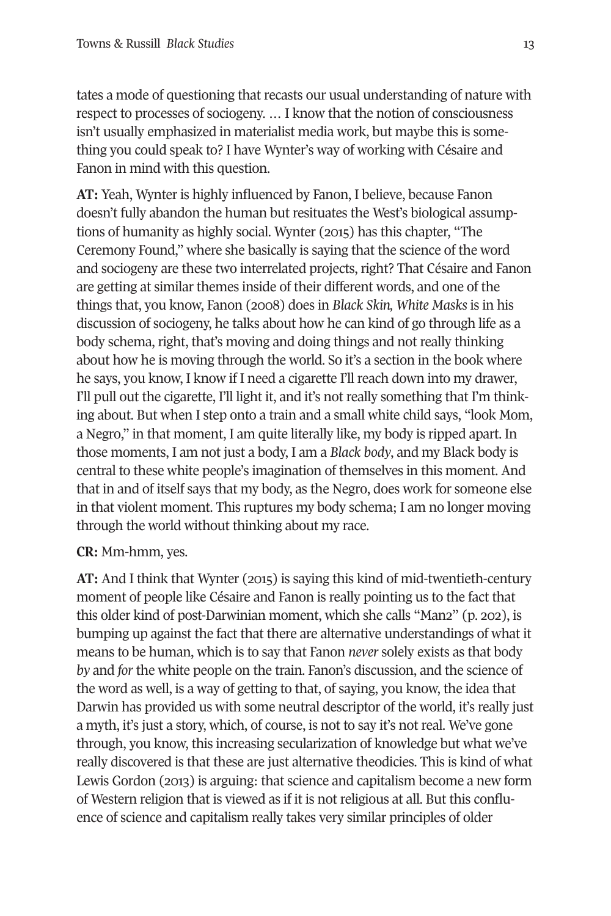tates a mode of questioning that recasts our usual understanding of nature with respect to processes of sociogeny. … I know that the notion of consciousness isn't usually emphasized in materialist media work, but maybe this is something you could speak to? I have Wynter's way of working with Césaire and Fanon in mind with this question.

**AT:** Yeah, Wynter is highly influenced by Fanon, I believe, because Fanon doesn't fully abandon the human but resituates the West's biological assumptions of humanity as highly social. Wynter (2015) has this chapter, "The Ceremony Found," where she basically is saying that the science of the word and sociogeny are these two interrelated projects, right? That Césaire and Fanon are getting at similar themes inside of their different words, and one of the things that, you know, Fanon (2008) does in *Black Skin, White Masks* is in his discussion of sociogeny, he talks about how he can kind of go through life as a body schema, right, that's moving and doing things and not really thinking about how he is moving through the world. So it's a section in the book where he says, you know, I know if I need a cigarette I'll reach down into my drawer, I'll pull out the cigarette, I'll light it, and it's not really something that I'm thinking about. But when I step onto a train and a small white child says, "look Mom, a Negro," in that moment, I am quite literally like, my body is ripped apart. In those moments, I am not just a body, I am a *Black body*, and my Black body is central to these white people's imagination of themselves in this moment. And that in and of itself says that my body, as the Negro, does work for someone else in that violent moment. This ruptures my body schema; I am no longer moving through the world without thinking about my race.

**CR:** Mm-hmm, yes.

**AT:** And I think that Wynter (2015) is saying this kind of mid-twentieth-century moment of people like Césaire and Fanon is really pointing us to the fact that this older kind of post-Darwinian moment, which she calls "Man2" (p. 202), is bumping up against the fact that there are alternative understandings of what it means to be human, which is to say that Fanon *never* solely exists as that body *by* and *for* the white people on the train. Fanon's discussion, and the science of the word as well, is a way of getting to that, of saying, you know, the idea that Darwin has provided us with some neutral descriptor of the world, it's really just a myth, it's just a story, which, of course, is not to say it's not real. We've gone through, you know, this increasing secularization of knowledge but what we've really discovered is that these are just alternative theodicies. This is kind of what Lewis Gordon (2013) is arguing: that science and capitalism become a new form of Western religion that is viewed as if it is not religious at all. But this confluence of science and capitalism really takes very similar principles of older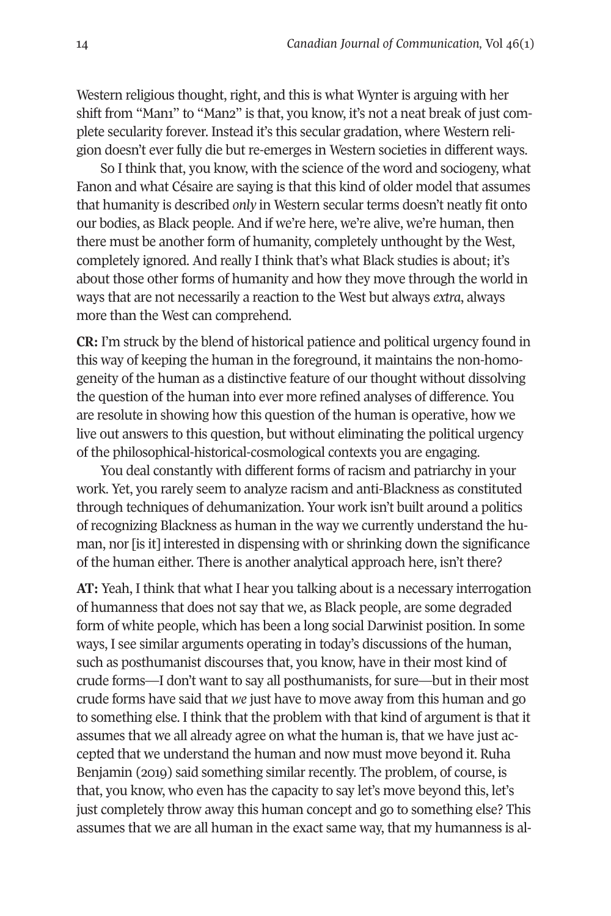Western religious thought, right, and this is what Wynter is arguing with her shift from "Man1" to "Man2" is that, you know, it's not a neat break of just complete secularity forever. Instead it's this secular gradation, where Western religion doesn't ever fully die but re-emerges in Western societies in different ways.

So I think that, you know, with the science of the word and sociogeny, what Fanon and what Césaire are saying is that this kind of older model that assumes that humanity is described *only* in Western secular terms doesn't neatly fit onto our bodies, as Black people. And if we're here, we're alive, we're human, then there must be another form of humanity, completely unthought by the West, completely ignored. And really I think that's what Black studies is about; it's about those other forms of humanity and how they move through the world in ways that are not necessarily a reaction to the West but always *extra*, always more than the West can comprehend.

**CR:** I'm struck by the blend of historical patience and political urgency found in this way of keeping the human in the foreground, it maintains the non-homogeneity of the human as a distinctive feature of our thought without dissolving the question of the human into ever more refined analyses of difference. You are resolute in showing how this question of the human is operative, how we live out answers to this question, but without eliminating the political urgency of the philosophical-historical-cosmological contexts you are engaging.

You deal constantly with different forms of racism and patriarchy in your work. Yet, you rarely seem to analyze racism and anti-Blackness as constituted through techniques of dehumanization. Your work isn't built around a politics of recognizing Blackness as human in the way we currently understand the human, nor [is it] interested in dispensing with or shrinking down the significance of the human either. There is another analytical approach here, isn't there?

**AT:** Yeah, I think that what I hear you talking about is a necessary interrogation of humanness that does not say that we, as Black people, are some degraded form of white people, which has been a long social Darwinist position. In some ways, I see similar arguments operating in today's discussions of the human, such as posthumanist discourses that, you know, have in their most kind of crude forms—I don't want to say all posthumanists, for sure—but in their most crude forms have said that *we* just have to move away from this human and go to something else. I think that the problem with that kind of argument is that it assumes that we all already agree on what the human is, that we have just accepted that we understand the human and now must move beyond it. Ruha Benjamin (2019) said something similar recently. The problem, of course, is that, you know, who even has the capacity to say let's move beyond this, let's just completely throw away this human concept and go to something else? This assumes that we are all human in the exact same way, that my humanness is al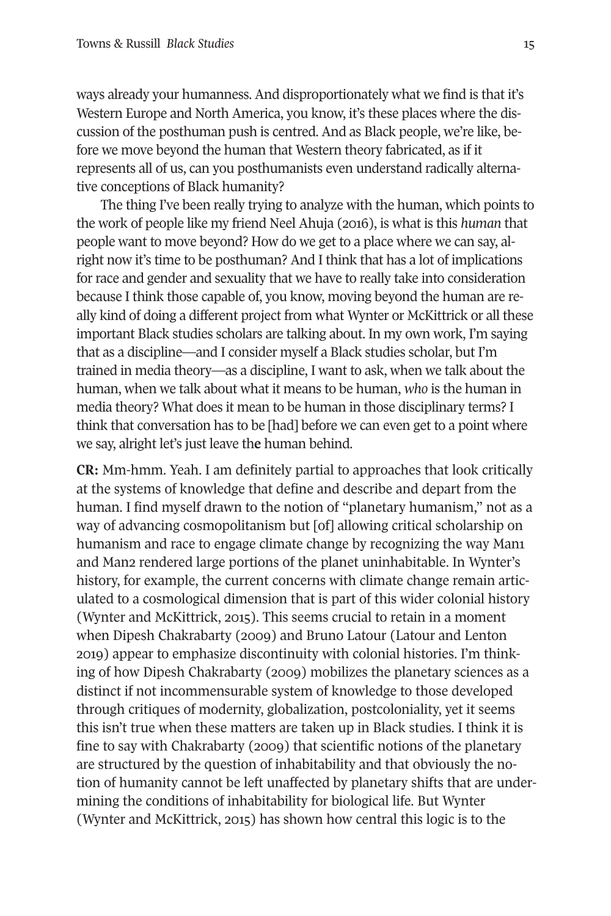ways already your humanness. And disproportionately what we find is that it's Western Europe and North America, you know, it's these places where the discussion of the posthuman push is centred. And as Black people, we're like, before we move beyond the human that Western theory fabricated, as if it represents all of us, can you posthumanists even understand radically alternative conceptions of Black humanity?

The thing I've been really trying to analyze with the human, which points to the work of people like my friend Neel Ahuja (2016), is what is this *human* that people want to move beyond? How do we get to a place where we can say, alright now it's time to be posthuman? And I think that has a lot of implications for race and gender and sexuality that we have to really take into consideration because I think those capable of, you know, moving beyond the human are really kind of doing a different project from what Wynter or McKittrick or all these important Black studies scholars are talking about. In my own work, I'm saying that as a discipline—and I consider myself a Black studies scholar, but I'm trained in media theory—as a discipline, I want to ask, when we talk about the human, when we talk about what it means to be human, *who* is the human in media theory? What does it mean to be human in those disciplinary terms? I think that conversation has to be [had] before we can even get to a point where we say, alright let's just leave th**e** human behind.

**CR:** Mm-hmm. Yeah. I am definitely partial to approaches that look critically at the systems of knowledge that define and describe and depart from the human. I find myself drawn to the notion of "planetary humanism," not as a way of advancing cosmopolitanism but [of] allowing critical scholarship on humanism and race to engage climate change by recognizing the way Man1 and Man2 rendered large portions of the planet uninhabitable. In Wynter's history, for example, the current concerns with climate change remain articulated to a cosmological dimension that is part of this wider colonial history (Wynter and McKittrick, 2015). This seems crucial to retain in a moment when Dipesh Chakrabarty (2009) and Bruno Latour (Latour and Lenton 2019) appear to emphasize discontinuity with colonial histories. I'm thinking of how Dipesh Chakrabarty (2009) mobilizes the planetary sciences as a distinct if not incommensurable system of knowledge to those developed through critiques of modernity, globalization, postcoloniality, yet it seems this isn't true when these matters are taken up in Black studies. I think it is fine to say with Chakrabarty (2009) that scientific notions of the planetary are structured by the question of inhabitability and that obviously the notion of humanity cannot be left unaffected by planetary shifts that are undermining the conditions of inhabitability for biological life. But Wynter (Wynter and McKittrick, 2015) has shown how central this logic is to the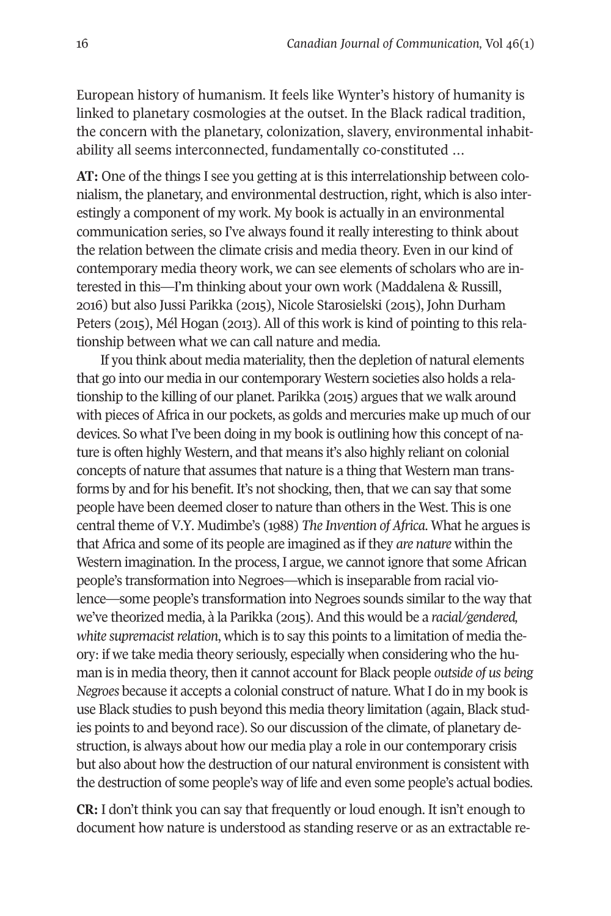European history of humanism. It feels like Wynter's history of humanity is linked to planetary cosmologies at the outset. In the Black radical tradition, the concern with the planetary, colonization, slavery, environmental inhabitability all seems interconnected, fundamentally co-constituted …

**AT:** One of the things I see you getting at is this interrelationship between colonialism, the planetary, and environmental destruction, right, which is also interestingly a component of my work. My book is actually in an environmental communication series, so I've always found it really interesting to think about the relation between the climate crisis and media theory. Even in our kind of contemporary media theory work, we can see elements of scholars who are interested in this—I'm thinking about your own work (Maddalena & Russill, 2016) but also Jussi Parikka (2015), Nicole Starosielski (2015), John Durham Peters (2015), Mél Hogan (2013). All of this work is kind of pointing to this relationship between what we can call nature and media.

If you think about media materiality, then the depletion of natural elements that go into our media in our contemporary Western societies also holds a relationship to the killing of our planet. Parikka (2015) argues that we walk around with pieces of Africa in our pockets, as golds and mercuries make up much of our devices. So what I've been doing in my book is outlining how this concept of nature is often highly Western, and that means it's also highly reliant on colonial concepts of nature that assumes that nature is a thing that Western man transforms by and for his benefit. It's not shocking, then, that we can say that some people have been deemed closer to nature than others in the West. This is one central theme of V.Y. Mudimbe's (1988) *The Invention of Africa*. What he argues is that Africa and some of its people are imagined as if they *are nature* within the Western imagination. In the process, I argue, we cannot ignore that some African people's transformation into Negroes—which is inseparable from racial violence—some people's transformation into Negroes sounds similar to the way that we've theorized media, à la Parikka (2015). And this would be a *racial/gendered, white supremacist relation*, which is to say this points to a limitation of media theory: if we take media theory seriously, especially when considering who the human is in media theory, then it cannot account for Black people *outside of us being Negroes* because it accepts a colonial construct of nature. What I do in my book is use Black studies to push beyond this media theory limitation (again, Black studies points to and beyond race). So our discussion of the climate, of planetary destruction, is always about how our media play a role in our contemporary crisis but also about how the destruction of our natural environment is consistent with the destruction of some people's way of life and even some people's actual bodies.

**CR:** I don't think you can say that frequently or loud enough. It isn't enough to document how nature is understood as standing reserve or as an extractable re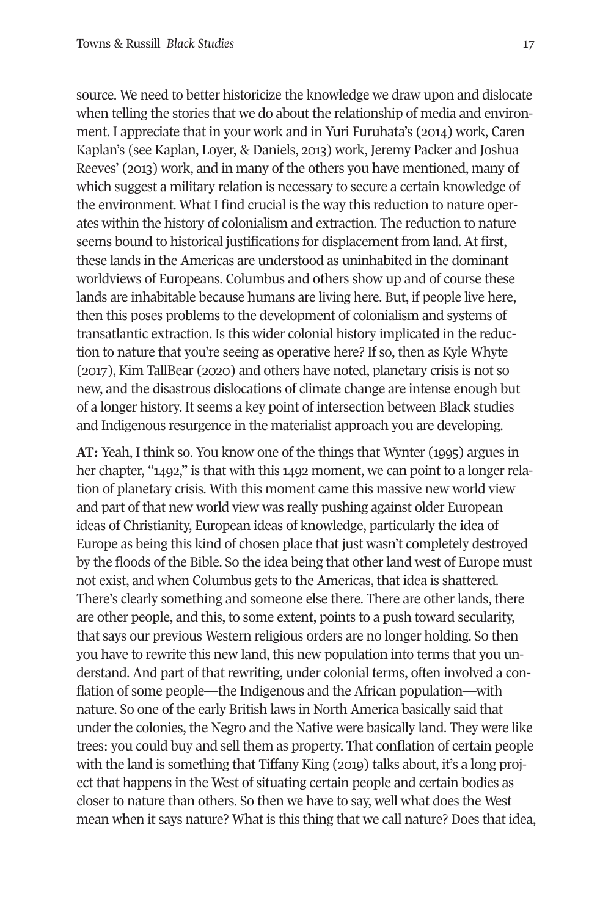source. We need to better historicize the knowledge we draw upon and dislocate when telling the stories that we do about the relationship of media and environment. I appreciate that in your work and in Yuri Furuhata's (2014) work, Caren Kaplan's (see Kaplan, Loyer, & Daniels, 2013) work, Jeremy Packer and Joshua Reeves' (2013) work, and in many of the others you have mentioned, many of which suggest a military relation is necessary to secure a certain knowledge of the environment. What I find crucial is the way this reduction to nature operates within the history of colonialism and extraction. The reduction to nature seems bound to historical justifications for displacement from land. At first, these lands in the Americas are understood as uninhabited in the dominant worldviews of Europeans. Columbus and others show up and of course these lands are inhabitable because humans are living here. But, if people live here, then this poses problems to the development of colonialism and systems of transatlantic extraction. Is this wider colonial history implicated in the reduction to nature that you're seeing as operative here? If so, then as Kyle Whyte (2017), Kim TallBear (2020) and others have noted, planetary crisis is not so new, and the disastrous dislocations of climate change are intense enough but of a longer history. It seems a key point of intersection between Black studies and Indigenous resurgence in the materialist approach you are developing.

**AT:** Yeah, I think so. You know one of the things that Wynter (1995) argues in her chapter, "1492," is that with this 1492 moment, we can point to a longer relation of planetary crisis. With this moment came this massive new world view and part of that new world view was really pushing against older European ideas of Christianity, European ideas of knowledge, particularly the idea of Europe as being this kind of chosen place that just wasn't completely destroyed by the floods of the Bible. So the idea being that other land west of Europe must not exist, and when Columbus gets to the Americas, that idea is shattered. There's clearly something and someone else there. There are other lands, there are other people, and this, to some extent, points to a push toward secularity, that says our previous Western religious orders are no longer holding. So then you have to rewrite this new land, this new population into terms that you understand. And part of that rewriting, under colonial terms, often involved a conflation of some people—the Indigenous and the African population—with nature. So one of the early British laws in North America basically said that under the colonies, the Negro and the Native were basically land. They were like trees: you could buy and sell them as property. That conflation of certain people with the land is something that Tiffany King (2019) talks about, it's a long project that happens in the West of situating certain people and certain bodies as closer to nature than others. So then we have to say, well what does the West mean when it says nature? What is this thing that we call nature? Does that idea,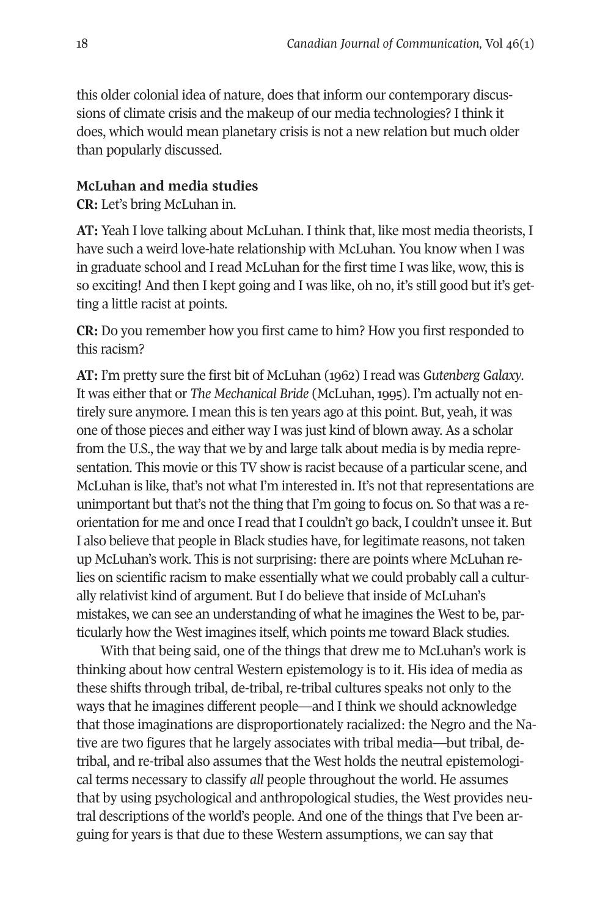this older colonial idea of nature, does that inform our contemporary discussions of climate crisis and the makeup of our media technologies? I think it does, which would mean planetary crisis is not a new relation but much older than popularly discussed.

#### **McLuhan and media studies**

**CR:** Let's bring McLuhan in.

**AT:** Yeah I love talking about McLuhan. I think that, like most media theorists, I have such a weird love-hate relationship with McLuhan. You know when I was in graduate school and I read McLuhan for the first time I was like, wow, this is so exciting! And then I kept going and I was like, oh no, it's still good but it's getting a little racist at points.

**CR:** Do you remember how you first came to him? How you first responded to this racism?

**AT:** I'm pretty sure the first bit of McLuhan (1962) I read was *Gutenberg Galaxy*. It was either that or *The Mechanical Bride* (McLuhan, 1995). I'm actually not entirely sure anymore. I mean this is ten years ago at this point. But, yeah, it was one of those pieces and either way I was just kind of blown away. As a scholar from the U.S., the way that we by and large talk about media is by media representation. This movie or this TV show is racist because of a particular scene, and McLuhan is like, that's not what I'm interested in. It's not that representations are unimportant but that's not the thing that I'm going to focus on. So that was a reorientation for me and once I read that I couldn't go back, I couldn't unsee it. But I also believe that people in Black studies have, for legitimate reasons, not taken up McLuhan's work. This is not surprising: there are points where McLuhan relies on scientific racism to make essentially what we could probably call a culturally relativist kind of argument. But I do believe that inside of McLuhan's mistakes, we can see an understanding of what he imagines the West to be, particularly how the West imagines itself, which points me toward Black studies.

With that being said, one of the things that drew me to McLuhan's work is thinking about how central Western epistemology is to it. His idea of media as these shifts through tribal, de-tribal, re-tribal cultures speaks not only to the ways that he imagines different people—and I think we should acknowledge that those imaginations are disproportionately racialized: the Negro and the Native are two figures that he largely associates with tribal media—but tribal, detribal, and re-tribal also assumes that the West holds the neutral epistemological terms necessary to classify *all* people throughout the world. He assumes that by using psychological and anthropological studies, the West provides neutral descriptions of the world's people. And one of the things that I've been arguing for years is that due to these Western assumptions, we can say that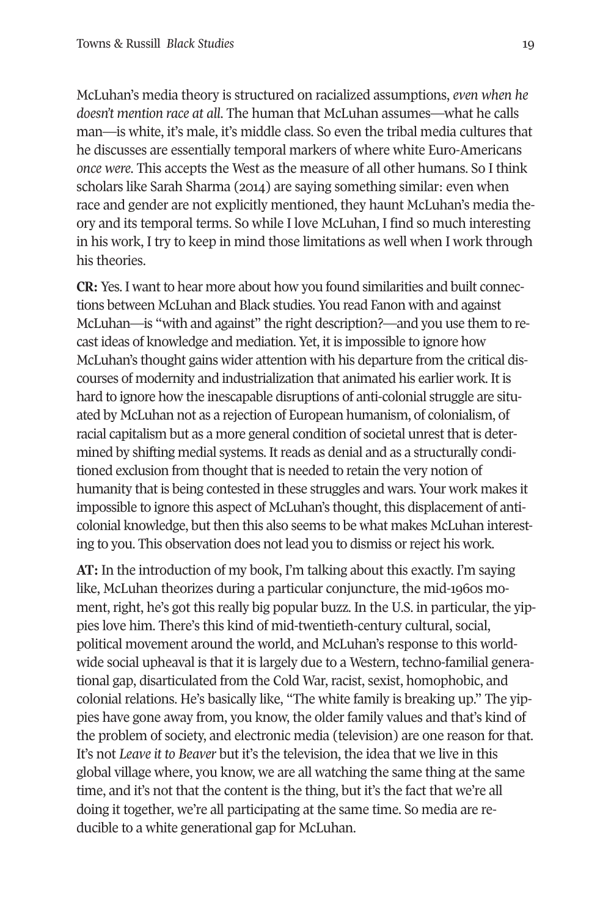McLuhan's media theory is structured on racialized assumptions, *even when he doesn't mention race at all*. The human that McLuhan assumes—what he calls man—is white, it's male, it's middle class. So even the tribal media cultures that he discusses are essentially temporal markers of where white Euro-Americans *once were*. This accepts the West as the measure of all other humans. So I think scholars like Sarah Sharma (2014) are saying something similar: even when race and gender are not explicitly mentioned, they haunt McLuhan's media theory and its temporal terms. So while I love McLuhan, I find so much interesting in his work, I try to keep in mind those limitations as well when I work through his theories.

**CR:** Yes. I want to hear more about how you found similarities and built connections between McLuhan and Black studies. You read Fanon with and against McLuhan—is "with and against" the right description?—and you use them to recast ideas of knowledge and mediation. Yet, it is impossible to ignore how McLuhan's thought gains wider attention with his departure from the critical discourses of modernity and industrialization that animated his earlier work. It is hard to ignore how the inescapable disruptions of anti-colonial struggle are situated by McLuhan not as a rejection of European humanism, of colonialism, of racial capitalism but as a more general condition of societal unrest that is determined by shifting medial systems. It reads as denial and as a structurally conditioned exclusion from thought that is needed to retain the very notion of humanity that is being contested in these struggles and wars. Your work makes it impossible to ignore this aspect of McLuhan's thought, this displacement of anticolonial knowledge, but then this also seems to be what makes McLuhan interesting to you. This observation does not lead you to dismiss or reject his work.

**AT:** In the introduction of my book, I'm talking about this exactly. I'm saying like, McLuhan theorizes during a particular conjuncture, the mid-1960s moment, right, he's got this really big popular buzz. In the U.S. in particular, the yippies love him. There's this kind of mid-twentieth-century cultural, social, political movement around the world, and McLuhan's response to this worldwide social upheaval is that it is largely due to a Western, techno-familial generational gap, disarticulated from the Cold War, racist, sexist, homophobic, and colonial relations. He's basically like, "The white family is breaking up." The yippies have gone away from, you know, the older family values and that's kind of the problem of society, and electronic media (television) are one reason for that. It's not *Leave it to Beaver* but it's the television, the idea that we live in this global village where, you know, we are all watching the same thing at the same time, and it's not that the content is the thing, but it's the fact that we're all doing it together, we're all participating at the same time. So media are reducible to a white generational gap for McLuhan.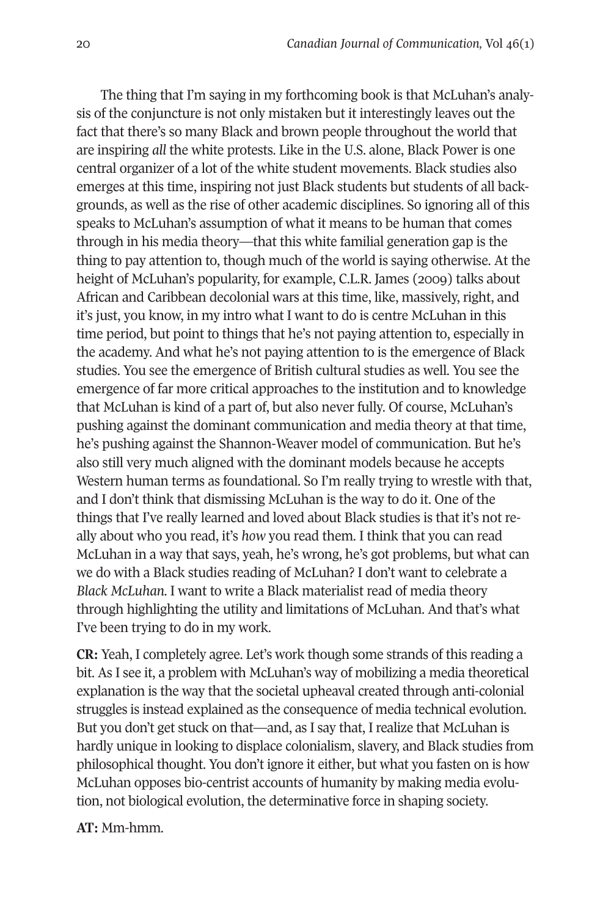The thing that I'm saying in my forthcoming book is that McLuhan's analysis of the conjuncture is not only mistaken but it interestingly leaves out the fact that there's so many Black and brown people throughout the world that are inspiring *all* the white protests. Like in the U.S. alone, Black Power is one central organizer of a lot of the white student movements. Black studies also emerges at this time, inspiring not just Black students but students of all backgrounds, as well as the rise of other academic disciplines. So ignoring all of this speaks to McLuhan's assumption of what it means to be human that comes through in his media theory—that this white familial generation gap is the thing to pay attention to, though much of the world is saying otherwise. At the height of McLuhan's popularity, for example, C.L.R. James (2009) talks about African and Caribbean decolonial wars at this time, like, massively, right, and it's just, you know, in my intro what I want to do is centre McLuhan in this time period, but point to things that he's not paying attention to, especially in the academy. And what he's not paying attention to is the emergence of Black studies. You see the emergence of British cultural studies as well. You see the emergence of far more critical approaches to the institution and to knowledge that McLuhan is kind of a part of, but also never fully. Of course, McLuhan's pushing against the dominant communication and media theory at that time, he's pushing against the Shannon-Weaver model of communication. But he's also still very much aligned with the dominant models because he accepts Western human terms as foundational. So I'm really trying to wrestle with that, and I don't think that dismissing McLuhan is the way to do it. One of the things that I've really learned and loved about Black studies is that it's not really about who you read, it's *how* you read them. I think that you can read McLuhan in a way that says, yeah, he's wrong, he's got problems, but what can we do with a Black studies reading of McLuhan? I don't want to celebrate a *Black McLuhan*. I want to write a Black materialist read of media theory through highlighting the utility and limitations of McLuhan. And that's what I've been trying to do in my work.

**CR:** Yeah, I completely agree. Let's work though some strands of this reading a bit. As I see it, a problem with McLuhan's way of mobilizing a media theoretical explanation is the way that the societal upheaval created through anti-colonial struggles is instead explained as the consequence of media technical evolution. But you don't get stuck on that—and, as I say that, I realize that McLuhan is hardly unique in looking to displace colonialism, slavery, and Black studies from philosophical thought. You don't ignore it either, but what you fasten on is how McLuhan opposes bio-centrist accounts of humanity by making media evolution, not biological evolution, the determinative force in shaping society.

**AT:** Mm-hmm.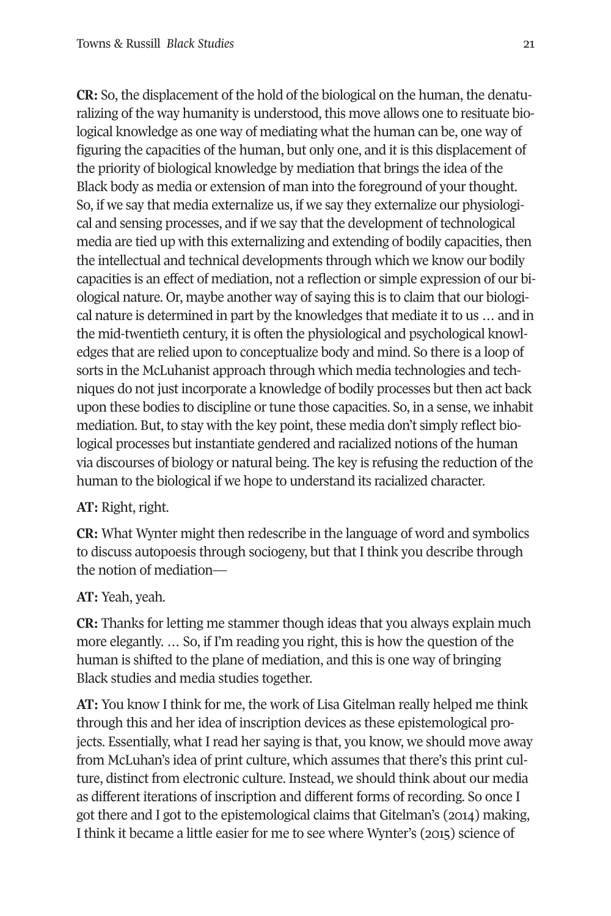**CR:** So, the displacement of the hold of the biological on the human, the denaturalizing of the way humanity is understood, this move allows one to resituate biological knowledge as one way of mediating what the human can be, one way of figuring the capacities of the human, but only one, and it is this displacement of the priority of biological knowledge by mediation that brings the idea of the Black body as media or extension of man into the foreground of your thought. So, if we say that media externalize us, if we say they externalize our physiological and sensing processes, and if we say that the development of technological media are tied up with this externalizing and extending of bodily capacities, then the intellectual and technical developments through which we know our bodily capacities is an effect of mediation, not a reflection or simple expression of our biological nature. Or, maybe another way of saying this is to claim that our biological nature is determined in part by the knowledges that mediate it to us … and in the mid-twentieth century, it is often the physiological and psychological knowledges that are relied upon to conceptualize body and mind. So there is a loop of sorts in the McLuhanist approach through which media technologies and techniques do not just incorporate a knowledge of bodily processes but then act back upon these bodies to discipline or tune those capacities. So, in a sense, we inhabit mediation. But, to stay with the key point, these media don't simply reflect biological processes but instantiate gendered and racialized notions of the human via discourses of biology or natural being. The key is refusing the reduction of the human to the biological if we hope to understand its racialized character.

### **AT:** Right, right.

**CR:** What Wynter might then redescribe in the language of word and symbolics to discuss autopoesis through sociogeny, but that I think you describe through the notion of mediation—

**AT:** Yeah, yeah.

**CR:** Thanks for letting me stammer though ideas that you always explain much more elegantly. … So, if I'm reading you right, this is how the question of the human is shifted to the plane of mediation, and this is one way of bringing Black studies and media studies together.

**AT:** You know I think for me, the work of Lisa Gitelman really helped me think through this and her idea of inscription devices as these epistemological projects. Essentially, what I read her saying is that, you know, we should move away from McLuhan's idea of print culture, which assumes that there's this print culture, distinct from electronic culture. Instead, we should think about our media as different iterations of inscription and different forms of recording. So once I got there and I got to the epistemological claims that Gitelman's (2014) making, I think it became a little easier for me to see where Wynter's (2015) science of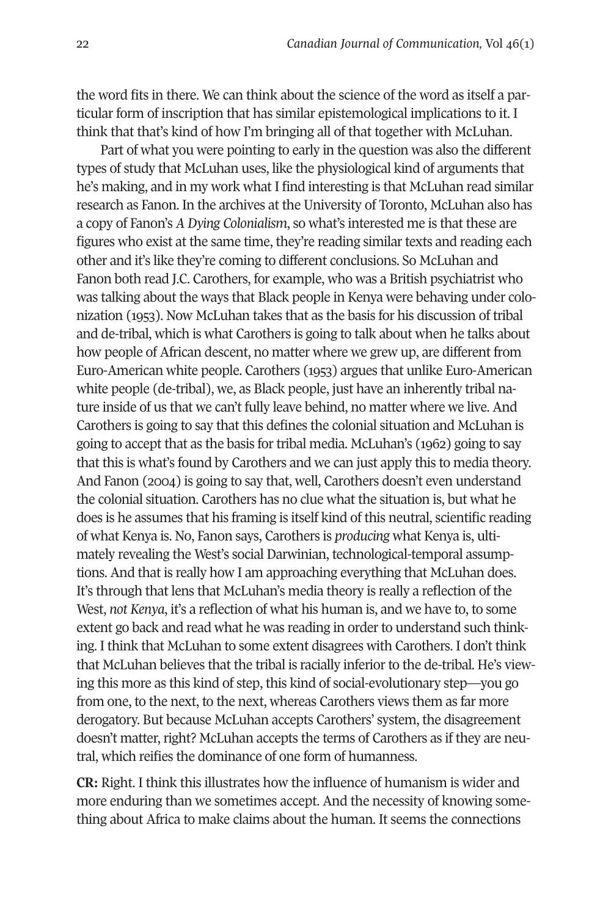the word fits in there. We can think about the science of the word as itself a particular form of inscription that has similar epistemological implications to it. I think that that's kind of how I'm bringing all of that together with McLuhan.

Part of what you were pointing to early in the question was also the different types of study that McLuhan uses, like the physiological kind of arguments that he's making, and in my work what I find interesting is that McLuhan read similar research as Fanon. In the archives at the University of Toronto, McLuhan also has a copy of Fanon's *A Dying Colonialism*, so what's interested me is that these are figures who exist at the same time, they're reading similar texts and reading each other and it's like they're coming to different conclusions. So McLuhan and Fanon both read J.C. Carothers, for example, who was a British psychiatrist who was talking about the ways that Black people in Kenya were behaving under colonization (1953). Now McLuhan takes that as the basis for his discussion of tribal and de-tribal, which is what Carothers is going to talk about when he talks about how people of African descent, no matter where we grew up, are different from Euro-American white people. Carothers (1953) argues that unlike Euro-American white people (de-tribal), we, as Black people, just have an inherently tribal nature inside of us that we can't fully leave behind, no matter where we live. And Carothers is going to say that this defines the colonial situation and McLuhan is going to accept that as the basis for tribal media. McLuhan's (1962) going to say that this is what's found by Carothers and we can just apply this to media theory. And Fanon (2004) is going to say that, well, Carothers doesn't even understand the colonial situation. Carothers has no clue what the situation is, but what he does is he assumes that his framing is itself kind of this neutral, scientific reading of what Kenya is. No, Fanon says, Carothers is *producing* what Kenya is, ultimately revealing the West's social Darwinian, technological-temporal assumptions. And that is really how I am approaching everything that McLuhan does. It's through that lens that McLuhan's media theory is really a reflection of the West, *not Kenya*, it's a reflection of what his human is, and we have to, to some extent go back and read what he was reading in order to understand such thinking. I think that McLuhan to some extent disagrees with Carothers. I don't think that McLuhan believes that the tribal is racially inferior to the de-tribal. He's viewing this more as this kind of step, this kind of social-evolutionary step—you go from one, to the next, to the next, whereas Carothers views them as far more derogatory. But because McLuhan accepts Carothers' system, the disagreement doesn't matter, right? McLuhan accepts the terms of Carothers as if they are neutral, which reifies the dominance of one form of humanness.

**CR:** Right. I think this illustrates how the influence of humanism is wider and more enduring than we sometimes accept. And the necessity of knowing something about Africa to make claims about the human. It seems the connections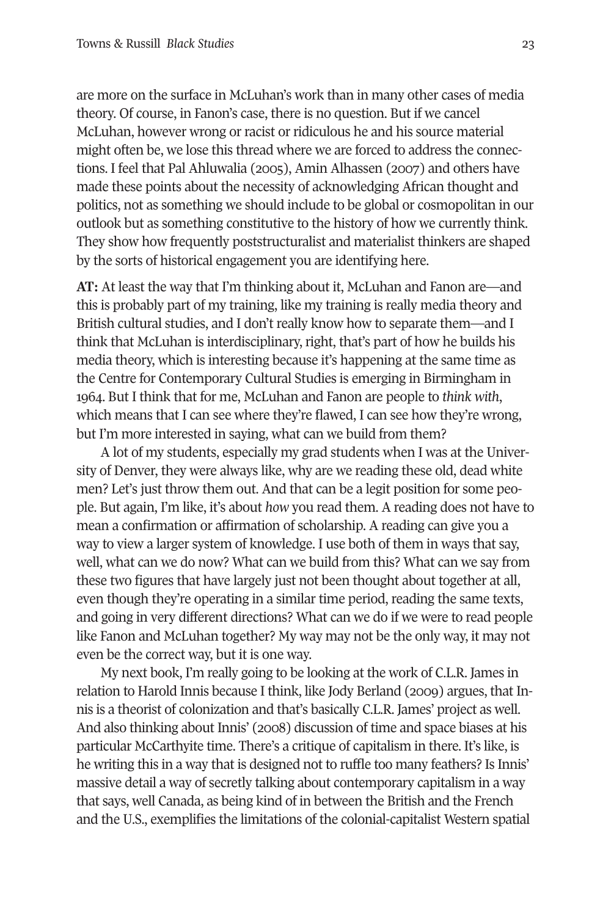are more on the surface in McLuhan's work than in many other cases of media theory. Of course, in Fanon's case, there is no question. But if we cancel McLuhan, however wrong or racist or ridiculous he and his source material might often be, we lose this thread where we are forced to address the connections. I feel that Pal Ahluwalia (2005), Amin Alhassen (2007) and others have made these points about the necessity of acknowledging African thought and politics, not as something we should include to be global or cosmopolitan in our outlook but as something constitutive to the history of how we currently think. They show how frequently poststructuralist and materialist thinkers are shaped by the sorts of historical engagement you are identifying here.

**AT:** At least the way that I'm thinking about it, McLuhan and Fanon are—and this is probably part of my training, like my training is really media theory and British cultural studies, and I don't really know how to separate them—and I think that McLuhan is interdisciplinary, right, that's part of how he builds his media theory, which is interesting because it's happening at the same time as the Centre for Contemporary Cultural Studies is emerging in Birmingham in 1964. But I think that for me, McLuhan and Fanon are people to *think with*, which means that I can see where they're flawed, I can see how they're wrong, but I'm more interested in saying, what can we build from them?

A lot of my students, especially my grad students when I was at the University of Denver, they were always like, why are we reading these old, dead white men? Let's just throw them out. And that can be a legit position for some people. But again, I'm like, it's about *how* you read them. A reading does not have to mean a confirmation or affirmation of scholarship. A reading can give you a way to view a larger system of knowledge. I use both of them in ways that say, well, what can we do now? What can we build from this? What can we say from these two figures that have largely just not been thought about together at all, even though they're operating in a similar time period, reading the same texts, and going in very different directions? What can we do if we were to read people like Fanon and McLuhan together? My way may not be the only way, it may not even be the correct way, but it is one way.

My next book, I'm really going to be looking at the work of C.L.R. James in relation to Harold Innis because I think, like Jody Berland (2009) argues, that Innis is a theorist of colonization and that's basically C.L.R. James' project as well. And also thinking about Innis' (2008) discussion of time and space biases at his particular McCarthyite time. There's a critique of capitalism in there. It's like, is he writing this in a way that is designed not to ruffle too many feathers? Is Innis' massive detail a way of secretly talking about contemporary capitalism in a way that says, well Canada, as being kind of in between the British and the French and the U.S., exemplifies the limitations of the colonial-capitalist Western spatial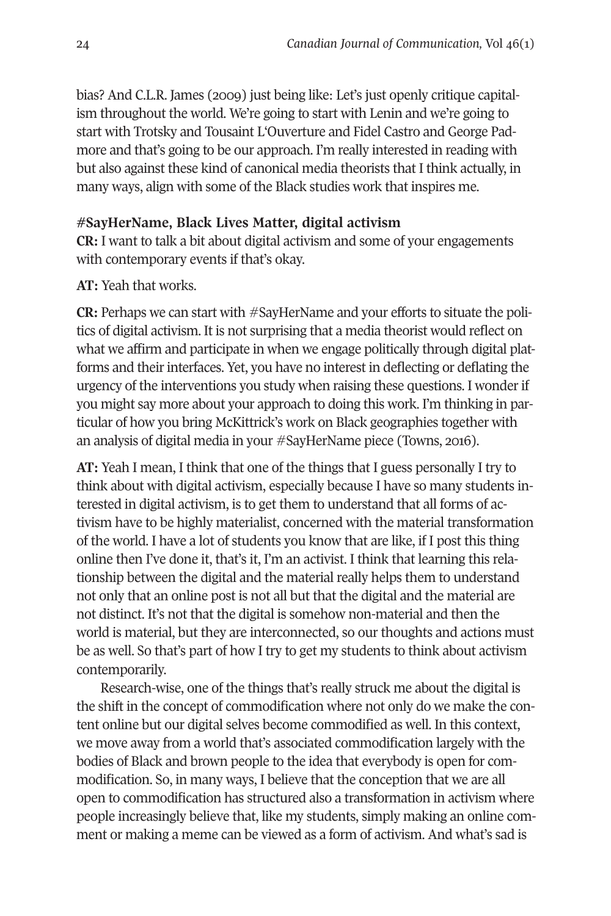bias? And C.L.R. James (2009) just being like: Let's just openly critique capitalism throughout the world. We're going to start with Lenin and we're going to start with Trotsky and Tousaint L'Ouverture and Fidel Castro and George Padmore and that's going to be our approach. I'm really interested in reading with but also against these kind of canonical media theorists that I think actually, in many ways, align with some of the Black studies work that inspires me.

#### **#SayHerName, Black Lives Matter, digital activism**

**CR:** I want to talk a bit about digital activism and some of your engagements with contemporary events if that's okay.

#### **AT:** Yeah that works.

**CR:** Perhaps we can start with #SayHerName and your efforts to situate the politics of digital activism. It is not surprising that a media theorist would reflect on what we affirm and participate in when we engage politically through digital platforms and their interfaces. Yet, you have no interest in deflecting or deflating the urgency of the interventions you study when raising these questions. I wonder if you might say more about your approach to doing this work. I'm thinking in particular of how you bring McKittrick's work on Black geographies together with an analysis of digital media in your #SayHerName piece (Towns, 2016).

**AT:** Yeah I mean, I think that one of the things that I guess personally I try to think about with digital activism, especially because I have so many students interested in digital activism, is to get them to understand that all forms of activism have to be highly materialist, concerned with the material transformation of the world. I have a lot of students you know that are like, if I post this thing online then I've done it, that's it, I'm an activist. I think that learning this relationship between the digital and the material really helps them to understand not only that an online post is not all but that the digital and the material are not distinct. It's not that the digital is somehow non-material and then the world is material, but they are interconnected, so our thoughts and actions must be as well. So that's part of how I try to get my students to think about activism contemporarily.

Research-wise, one of the things that's really struck me about the digital is the shift in the concept of commodification where not only do we make the content online but our digital selves become commodified as well. In this context, we move away from a world that's associated commodification largely with the bodies of Black and brown people to the idea that everybody is open for commodification. So, in many ways, I believe that the conception that we are all open to commodification has structured also a transformation in activism where people increasingly believe that, like my students, simply making an online comment or making a meme can be viewed as a form of activism. And what's sad is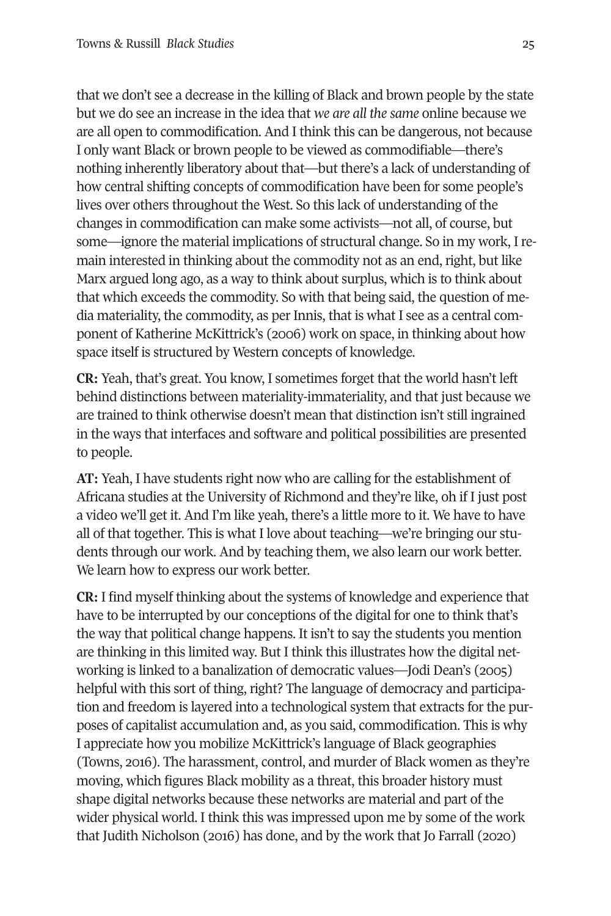that we don't see a decrease in the killing of Black and brown people by the state but we do see an increase in the idea that *we are all the same* online because we are all open to commodification. And I think this can be dangerous, not because I only want Black or brown people to be viewed as commodifiable—there's nothing inherently liberatory about that—but there's a lack of understanding of how central shifting concepts of commodification have been for some people's lives over others throughout the West. So this lack of understanding of the changes in commodification can make some activists—not all, of course, but some—ignore the material implications of structural change. So in my work, I remain interested in thinking about the commodity not as an end, right, but like Marx argued long ago, as a way to think about surplus, which is to think about that which exceeds the commodity. So with that being said, the question of media materiality, the commodity, as per Innis, that is what I see as a central component of Katherine McKittrick's (2006) work on space, in thinking about how space itself is structured by Western concepts of knowledge.

**CR:** Yeah, that's great. You know, I sometimes forget that the world hasn't left behind distinctions between materiality-immateriality, and that just because we are trained to think otherwise doesn't mean that distinction isn't still ingrained in the ways that interfaces and software and political possibilities are presented to people.

**AT:** Yeah, I have students right now who are calling for the establishment of Africana studies at the University of Richmond and they're like, oh if I just post a video we'll get it. And I'm like yeah, there's a little more to it. We have to have all of that together. This is what I love about teaching—we're bringing our students through our work. And by teaching them, we also learn our work better. We learn how to express our work better.

**CR:** I find myself thinking about the systems of knowledge and experience that have to be interrupted by our conceptions of the digital for one to think that's the way that political change happens. It isn't to say the students you mention are thinking in this limited way. But I think this illustrates how the digital networking is linked to a banalization of democratic values—Jodi Dean's (2005) helpful with this sort of thing, right? The language of democracy and participation and freedom is layered into a technological system that extracts for the purposes of capitalist accumulation and, as you said, commodification. This is why I appreciate how you mobilize McKittrick's language of Black geographies (Towns, 2016). The harassment, control, and murder of Black women as they're moving, which figures Black mobility as a threat, this broader history must shape digital networks because these networks are material and part of the wider physical world. I think this was impressed upon me by some of the work that Judith Nicholson (2016) has done, and by the work that Jo Farrall (2020)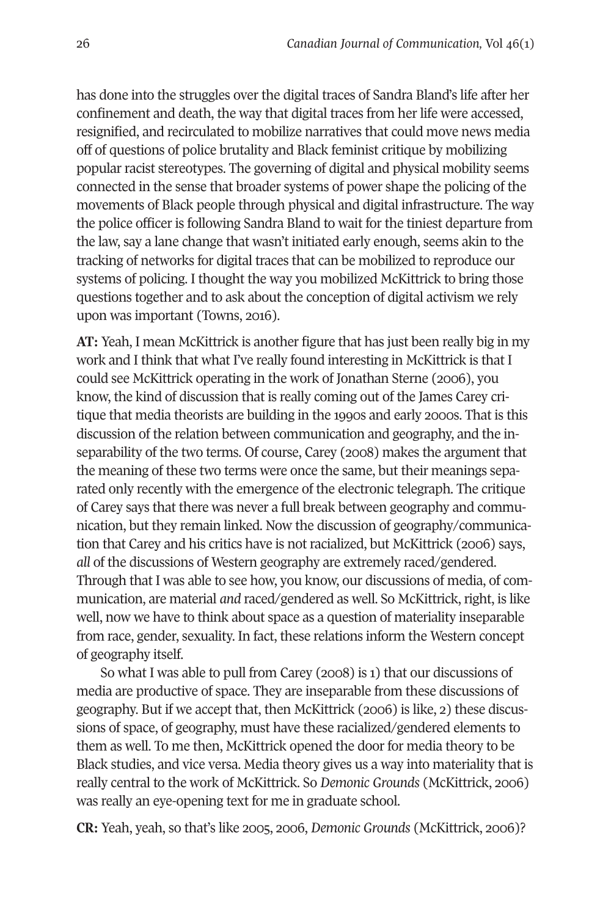has done into the struggles over the digital traces of Sandra Bland's life after her confinement and death, the way that digital traces from her life were accessed, resignified, and recirculated to mobilize narratives that could move news media off of questions of police brutality and Black feminist critique by mobilizing popular racist stereotypes. The governing of digital and physical mobility seems connected in the sense that broader systems of power shape the policing of the movements of Black people through physical and digital infrastructure. The way the police officer is following Sandra Bland to wait for the tiniest departure from the law, say a lane change that wasn't initiated early enough, seems akin to the tracking of networks for digital traces that can be mobilized to reproduce our systems of policing. I thought the way you mobilized McKittrick to bring those questions together and to ask about the conception of digital activism we rely upon was important (Towns, 2016).

**AT:** Yeah, I mean McKittrick is another figure that has just been really big in my work and I think that what I've really found interesting in McKittrick is that I could see McKittrick operating in the work of Jonathan Sterne (2006), you know, the kind of discussion that is really coming out of the James Carey critique that media theorists are building in the 1990s and early 2000s. That is this discussion of the relation between communication and geography, and the inseparability of the two terms. Of course, Carey (2008) makes the argument that the meaning of these two terms were once the same, but their meanings separated only recently with the emergence of the electronic telegraph. The critique of Carey says that there was never a full break between geography and communication, but they remain linked. Now the discussion of geography/communication that Carey and his critics have is not racialized, but McKittrick (2006) says, *all* of the discussions of Western geography are extremely raced/gendered. Through that I was able to see how, you know, our discussions of media, of communication, are material *and* raced/gendered as well. So McKittrick, right, is like well, now we have to think about space as a question of materiality inseparable from race, gender, sexuality. In fact, these relations inform the Western concept of geography itself.

So what I was able to pull from Carey (2008) is 1) that our discussions of media are productive of space. They are inseparable from these discussions of geography. But if we accept that, then McKittrick (2006) is like, 2) these discussions of space, of geography, must have these racialized/gendered elements to them as well. To me then, McKittrick opened the door for media theory to be Black studies, and vice versa. Media theory gives us a way into materiality that is really central to the work of McKittrick. So *Demonic Grounds* (McKittrick, 2006) was really an eye-opening text for me in graduate school.

**CR:** Yeah, yeah, so that's like 2005, 2006, *Demonic Grounds* (McKittrick, 2006)?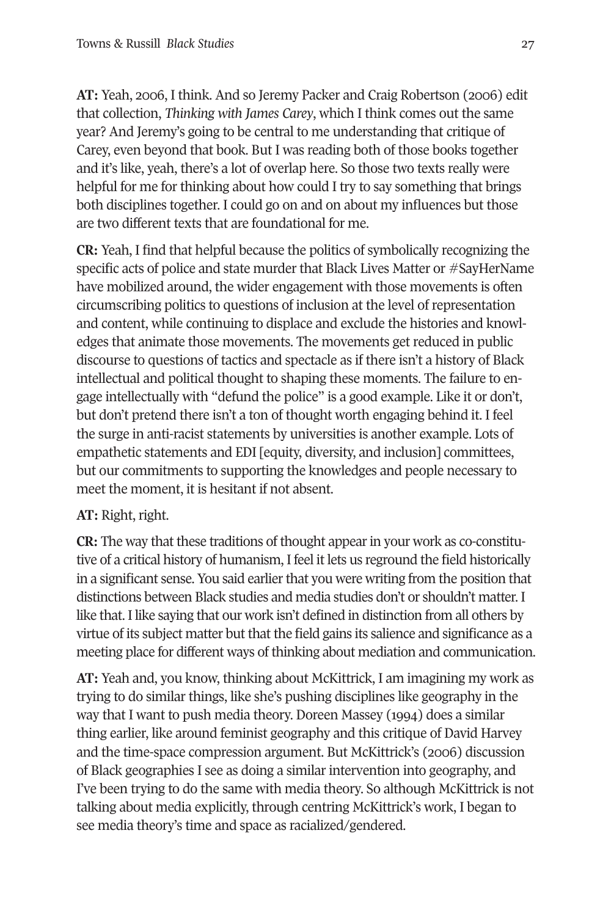**AT:** Yeah, 2006, I think. And so Jeremy Packer and Craig Robertson (2006) edit that collection, *Thinking with James Carey*, which I think comes out the same year? And Jeremy's going to be central to me understanding that critique of Carey, even beyond that book. But I was reading both of those books together and it's like, yeah, there's a lot of overlap here. So those two texts really were helpful for me for thinking about how could I try to say something that brings both disciplines together. I could go on and on about my influences but those are two different texts that are foundational for me.

**CR:** Yeah, I find that helpful because the politics of symbolically recognizing the specific acts of police and state murder that Black Lives Matter or #SayHerName have mobilized around, the wider engagement with those movements is often circumscribing politics to questions of inclusion at the level of representation and content, while continuing to displace and exclude the histories and knowledges that animate those movements. The movements get reduced in public discourse to questions of tactics and spectacle as if there isn't a history of Black intellectual and political thought to shaping these moments. The failure to engage intellectually with "defund the police" is a good example. Like it or don't, but don't pretend there isn't a ton of thought worth engaging behind it. I feel the surge in anti-racist statements by universities is another example. Lots of empathetic statements and EDI [equity, diversity, and inclusion] committees, but our commitments to supporting the knowledges and people necessary to meet the moment, it is hesitant if not absent.

## **AT:** Right, right.

**CR:** The way that these traditions of thought appear in your work as co-constitutive of a critical history of humanism, I feel it lets us reground the field historically in a significant sense. You said earlier that you were writing from the position that distinctions between Black studies and media studies don't or shouldn't matter. I like that. I like saying that our work isn't defined in distinction from all others by virtue of its subject matter but that the field gains its salience and significance as a meeting place for different ways of thinking about mediation and communication.

**AT:** Yeah and, you know, thinking about McKittrick, I am imagining my work as trying to do similar things, like she's pushing disciplines like geography in the way that I want to push media theory. Doreen Massey (1994) does a similar thing earlier, like around feminist geography and this critique of David Harvey and the time-space compression argument. But McKittrick's (2006) discussion of Black geographies I see as doing a similar intervention into geography, and I've been trying to do the same with media theory. So although McKittrick is not talking about media explicitly, through centring McKittrick's work, I began to see media theory's time and space as racialized/gendered.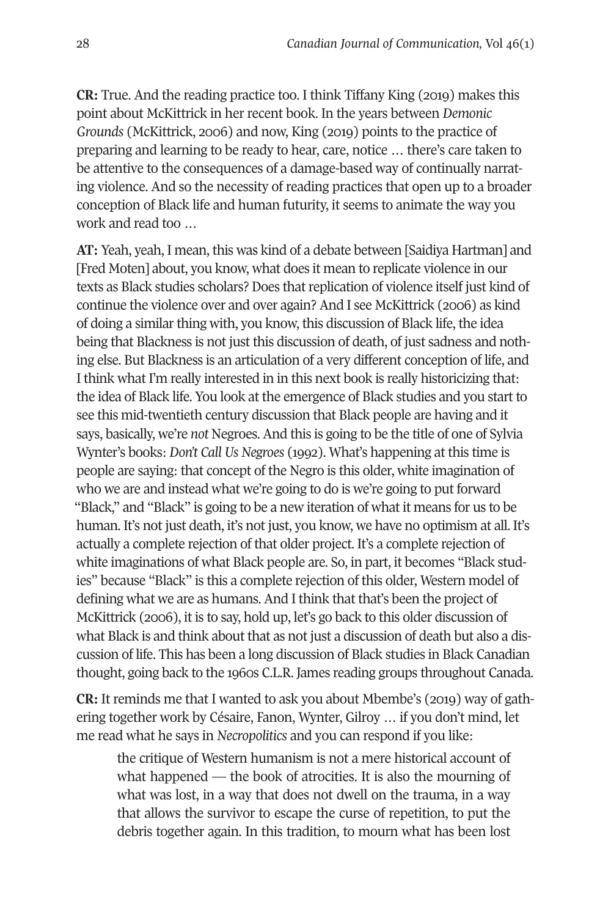**CR:** True. And the reading practice too. I think Tiffany King (2019) makes this point about McKittrick in her recent book. In the years between *Demonic Grounds* (McKittrick, 2006) and now, King (2019) points to the practice of preparing and learning to be ready to hear, care, notice … there's care taken to be attentive to the consequences of a damage-based way of continually narrating violence. And so the necessity of reading practices that open up to a broader conception of Black life and human futurity, it seems to animate the way you work and read too …

**AT:** Yeah, yeah, I mean, this was kind of a debate between [Saidiya Hartman] and [Fred Moten] about, you know, what does it mean to replicate violence in our texts as Black studies scholars? Does that replication of violence itself just kind of continue the violence over and over again? And I see McKittrick (2006) as kind of doing a similar thing with, you know, this discussion of Black life, the idea being that Blackness is not just this discussion of death, of just sadness and nothing else. But Blackness is an articulation of a very different conception of life, and I think what I'm really interested in in this next book is really historicizing that: the idea of Black life. You look at the emergence of Black studies and you start to see this mid-twentieth century discussion that Black people are having and it says, basically, we're *not* Negroes. And this is going to be the title of one of Sylvia Wynter's books: *Don't Call Us Negroes* (1992). What's happening at this time is people are saying: that concept of the Negro is this older, white imagination of who we are and instead what we're going to do is we're going to put forward "Black," and "Black" is going to be a new iteration of what it means for us to be human. It's not just death, it's not just, you know, we have no optimism at all. It's actually a complete rejection of that older project. It's a complete rejection of white imaginations of what Black people are. So, in part, it becomes "Black studies" because "Black" is this a complete rejection of this older, Western model of defining what we are as humans. And I think that that's been the project of McKittrick (2006), it is to say, hold up, let's go back to this older discussion of what Black is and think about that as not just a discussion of death but also a discussion of life. This has been a long discussion of Black studies in Black Canadian thought, going back to the 1960s C.L.R. James reading groups throughout Canada.

**CR:** It reminds me that I wanted to ask you about Mbembe's (2019) way of gathering together work by Césaire, Fanon, Wynter, Gilroy … if you don't mind, let me read what he says in *Necropolitics* and you can respond if you like:

the critique of Western humanism is not a mere historical account of what happened — the book of atrocities. It is also the mourning of what was lost, in a way that does not dwell on the trauma, in a way that allows the survivor to escape the curse of repetition, to put the debris together again. In this tradition, to mourn what has been lost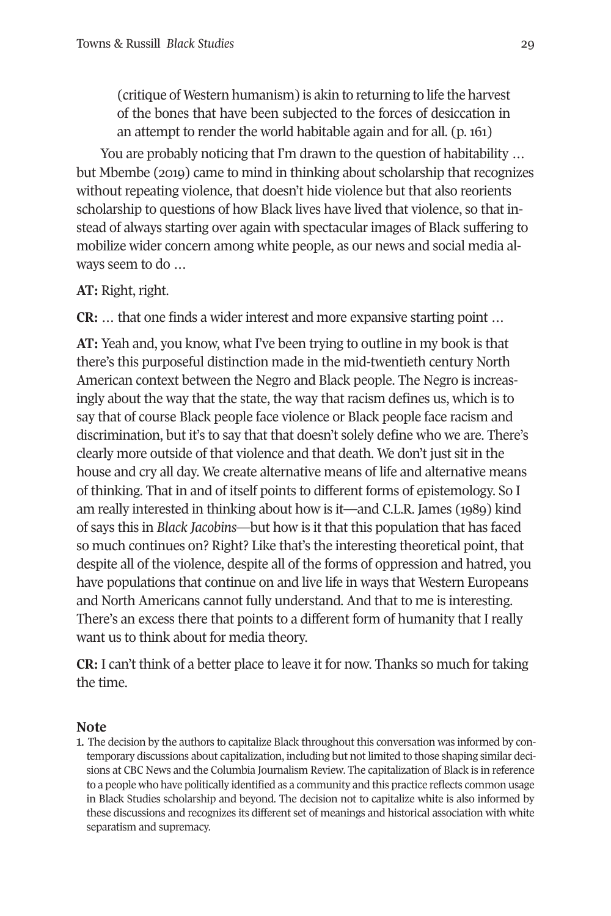(critique of Western humanism) is akin to returning to life the harvest of the bones that have been subjected to the forces of desiccation in an attempt to render the world habitable again and for all. (p. 161)

You are probably noticing that I'm drawn to the question of habitability … but Mbembe (2019) came to mind in thinking about scholarship that recognizes without repeating violence, that doesn't hide violence but that also reorients scholarship to questions of how Black lives have lived that violence, so that instead of always starting over again with spectacular images of Black suffering to mobilize wider concern among white people, as our news and social media always seem to do …

### **AT:** Right, right.

**CR:** … that one finds a wider interest and more expansive starting point …

**AT:** Yeah and, you know, what I've been trying to outline in my book is that there's this purposeful distinction made in the mid-twentieth century North American context between the Negro and Black people. The Negro is increasingly about the way that the state, the way that racism defines us, which is to say that of course Black people face violence or Black people face racism and discrimination, but it's to say that that doesn't solely define who we are. There's clearly more outside of that violence and that death. We don't just sit in the house and cry all day. We create alternative means of life and alternative means of thinking. That in and of itself points to different forms of epistemology. So I am really interested in thinking about how is it—and C.L.R. James (1989) kind of says this in *Black Jacobins*—but how is it that this population that has faced so much continues on? Right? Like that's the interesting theoretical point, that despite all of the violence, despite all of the forms of oppression and hatred, you have populations that continue on and live life in ways that Western Europeans and North Americans cannot fully understand. And that to me is interesting. There's an excess there that points to a different form of humanity that I really want us to think about for media theory.

**CR:** I can't think of a better place to leave it for now. Thanks so much for taking the time.

#### **Note**

<span id="page-20-0"></span>1. The decision by the authors to capitalize Black throughout this conversation was informed by contemporary discussions about capitalization, including but not limited to those shaping similar decisions at CBC News and the Columbia Journalism Review. The capitalization of Black is in reference to a people who have politically identified as a community and this practice reflects common usage in Black Studies scholarship and beyond. The decision not to capitalize white is also informed by these discussions and recognizes its different set of meanings and historical association with white separatism and supremacy.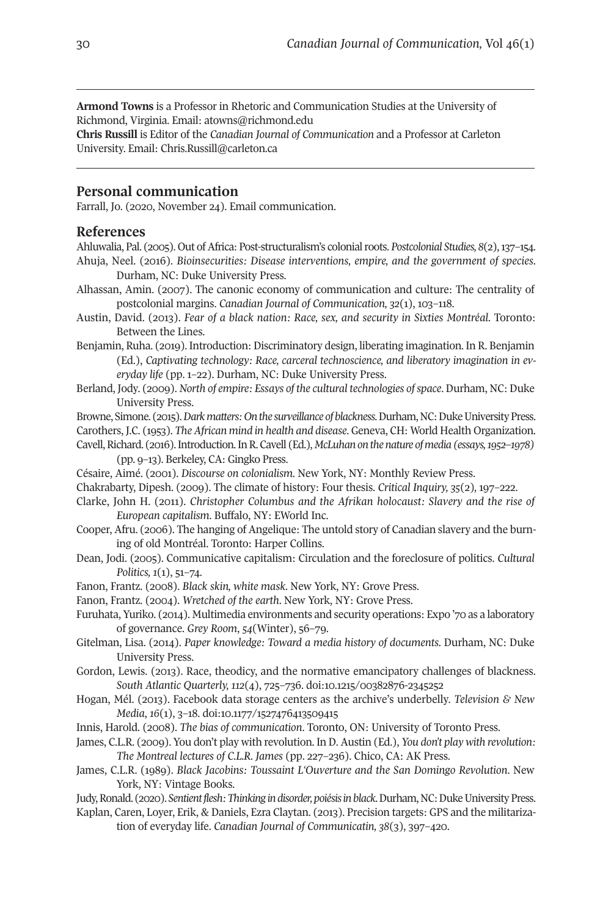**Armond Towns** is a Professor in Rhetoric and Communication Studies at the University of Richmond, Virginia. Email: [atowns@richmond.edu](mailto:atowns@richmond.edu) 

**Chris Russill** is Editor of the *Canadian Journal of Communication* and a Professor at Carleton University. Email: [Chris.Russill@carleton.ca](mailto:Chris.Russill@carleton.ca) 

#### **Personal communication**

Farrall, Jo. (2020, November 24). Email communication.

#### **References**

- Ahluwalia, Pal. (2005). Out of Africa: Post-structuralism's colonial roots. *Postcolonial Studies, 8*(2), 137–154. Ahuja, Neel. (2016). *Bioinsecurities: Disease interventions, empire, and the government of species*. Durham, NC: Duke University Press.
- Alhassan, Amin. (2007). The canonic economy of communication and culture: The centrality of postcolonial margins. *Canadian Journal of Communication, 32*(1), 103–118.
- Austin, David. (2013). *Fear of a black nation: Race, sex, and security in Sixties Montréal.* Toronto: Between the Lines.
- Benjamin, Ruha. (2019). Introduction: Discriminatory design, liberating imagination. In R. Benjamin (Ed.), *Captivating technology: Race, carceral technoscience, and liberatory imagination in everyday life* (pp. 1–22). Durham, NC: Duke University Press.
- Berland, Jody. (2009). *North of empire: Essays of the cultural technologies of space*. Durham, NC: Duke University Press.
- Browne, Simone. (2015). *Dark matters: On the surveillance of blackness*. Durham, NC: Duke University Press. Carothers, J.C. (1953). *The African mind in health and disease*. Geneva, CH: World Health Organization.
- Cavell, Richard. (2016). Introduction. In R. Cavell (Ed.), *McLuhan on the nature of media (essays, 1952–1978)*  (pp. 9–13). Berkeley, CA: Gingko Press.
- Césaire, Aimé. (2001). *Discourse on colonialism*. New York, NY: Monthly Review Press.
- Chakrabarty, Dipesh. (2009). The climate of history: Four thesis. *Critical Inquiry, 35*(2)*,* 197–222.
- Clarke, John H. (2011). *Christopher Columbus and the Afrikan holocaust: Slavery and the rise of European capitalism*. Buffalo, NY: EWorld Inc.
- Cooper, Afru. (2006). The hanging of Angelique: The untold story of Canadian slavery and the burning of old Montréal. Toronto: Harper Collins.
- Dean, Jodi. (2005). Communicative capitalism: Circulation and the foreclosure of politics. *Cultural Politics, 1*(1), 51–74.
- Fanon, Frantz. (2008). *Black skin, white mask*. New York, NY: Grove Press.
- Fanon, Frantz. (2004). *Wretched of the earth*. New York, NY: Grove Press.
- Furuhata, Yuriko. (2014). Multimedia environments and security operations: Expo '70 as a laboratory of governance. *Grey Room*, *54*(Winter), 56–79.
- Gitelman, Lisa. (2014). *Paper knowledge: Toward a media history of documents*. Durham, NC: Duke University Press.
- Gordon, Lewis. (2013). Race, theodicy, and the normative emancipatory challenges of blackness. *South Atlantic Quarterly, 112*(4), 725–736. doi[:10.1215/00382876-2345252](https://doi.org/10.1215/00382876-2345252)
- Hogan, Mél. (2013). Facebook data storage centers as the archive's underbelly. *Television & New Media*, *16*(1), 3–18. doi[:10.1177/1527476413509415](https://doi.org/10.1177/1527476413509415)
- Innis, Harold. (2008). *The bias of communication*. Toronto, ON: University of Toronto Press.
- James, C.L.R. (2009). You don't play with revolution. In D. Austin (Ed.), *You don't play with revolution: The Montreal lectures of C.L.R. James* (pp. 227–236). Chico, CA: AK Press.
- James, C.L.R. (1989). *Black Jacobins: Toussaint L'Ouverture and the San Domingo Revolution*. New York, NY: Vintage Books.
- Judy, Ronald. (2020). *Sentient flesh: Thinking in disorder, poiésis in black*. Durham, NC: Duke University Press.
- Kaplan, Caren, Loyer, Erik, & Daniels, Ezra Claytan. (2013). Precision targets: GPS and the militarization of everyday life. *Canadian Journal of Communicatin, 38*(3), 397–420.